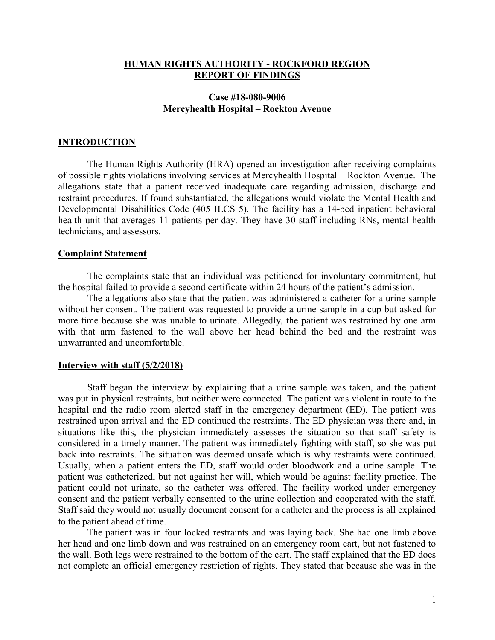### HUMAN RIGHTS AUTHORITY - ROCKFORD REGION REPORT OF FINDINGS

## Case #18-080-9006 Mercyhealth Hospital – Rockton Avenue

### INTRODUCTION

 The Human Rights Authority (HRA) opened an investigation after receiving complaints of possible rights violations involving services at Mercyhealth Hospital – Rockton Avenue. The allegations state that a patient received inadequate care regarding admission, discharge and restraint procedures. If found substantiated, the allegations would violate the Mental Health and Developmental Disabilities Code (405 ILCS 5). The facility has a 14-bed inpatient behavioral health unit that averages 11 patients per day. They have 30 staff including RNs, mental health technicians, and assessors.

#### Complaint Statement

The complaints state that an individual was petitioned for involuntary commitment, but the hospital failed to provide a second certificate within 24 hours of the patient's admission.

The allegations also state that the patient was administered a catheter for a urine sample without her consent. The patient was requested to provide a urine sample in a cup but asked for more time because she was unable to urinate. Allegedly, the patient was restrained by one arm with that arm fastened to the wall above her head behind the bed and the restraint was unwarranted and uncomfortable.

#### Interview with staff (5/2/2018)

 Staff began the interview by explaining that a urine sample was taken, and the patient was put in physical restraints, but neither were connected. The patient was violent in route to the hospital and the radio room alerted staff in the emergency department (ED). The patient was restrained upon arrival and the ED continued the restraints. The ED physician was there and, in situations like this, the physician immediately assesses the situation so that staff safety is considered in a timely manner. The patient was immediately fighting with staff, so she was put back into restraints. The situation was deemed unsafe which is why restraints were continued. Usually, when a patient enters the ED, staff would order bloodwork and a urine sample. The patient was catheterized, but not against her will, which would be against facility practice. The patient could not urinate, so the catheter was offered. The facility worked under emergency consent and the patient verbally consented to the urine collection and cooperated with the staff. Staff said they would not usually document consent for a catheter and the process is all explained to the patient ahead of time.

 The patient was in four locked restraints and was laying back. She had one limb above her head and one limb down and was restrained on an emergency room cart, but not fastened to the wall. Both legs were restrained to the bottom of the cart. The staff explained that the ED does not complete an official emergency restriction of rights. They stated that because she was in the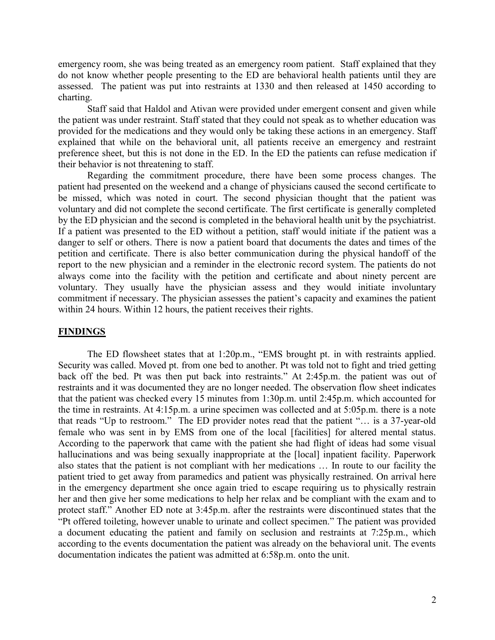emergency room, she was being treated as an emergency room patient. Staff explained that they do not know whether people presenting to the ED are behavioral health patients until they are assessed. The patient was put into restraints at 1330 and then released at 1450 according to charting.

Staff said that Haldol and Ativan were provided under emergent consent and given while the patient was under restraint. Staff stated that they could not speak as to whether education was provided for the medications and they would only be taking these actions in an emergency. Staff explained that while on the behavioral unit, all patients receive an emergency and restraint preference sheet, but this is not done in the ED. In the ED the patients can refuse medication if their behavior is not threatening to staff.

 Regarding the commitment procedure, there have been some process changes. The patient had presented on the weekend and a change of physicians caused the second certificate to be missed, which was noted in court. The second physician thought that the patient was voluntary and did not complete the second certificate. The first certificate is generally completed by the ED physician and the second is completed in the behavioral health unit by the psychiatrist. If a patient was presented to the ED without a petition, staff would initiate if the patient was a danger to self or others. There is now a patient board that documents the dates and times of the petition and certificate. There is also better communication during the physical handoff of the report to the new physician and a reminder in the electronic record system. The patients do not always come into the facility with the petition and certificate and about ninety percent are voluntary. They usually have the physician assess and they would initiate involuntary commitment if necessary. The physician assesses the patient's capacity and examines the patient within 24 hours. Within 12 hours, the patient receives their rights.

#### FINDINGS

The ED flowsheet states that at 1:20p.m., "EMS brought pt. in with restraints applied. Security was called. Moved pt. from one bed to another. Pt was told not to fight and tried getting back off the bed. Pt was then put back into restraints." At 2:45p.m. the patient was out of restraints and it was documented they are no longer needed. The observation flow sheet indicates that the patient was checked every 15 minutes from 1:30p.m. until 2:45p.m. which accounted for the time in restraints. At 4:15p.m. a urine specimen was collected and at 5:05p.m. there is a note that reads "Up to restroom." The ED provider notes read that the patient "… is a 37-year-old female who was sent in by EMS from one of the local [facilities] for altered mental status. According to the paperwork that came with the patient she had flight of ideas had some visual hallucinations and was being sexually inappropriate at the [local] inpatient facility. Paperwork also states that the patient is not compliant with her medications … In route to our facility the patient tried to get away from paramedics and patient was physically restrained. On arrival here in the emergency department she once again tried to escape requiring us to physically restrain her and then give her some medications to help her relax and be compliant with the exam and to protect staff." Another ED note at 3:45p.m. after the restraints were discontinued states that the "Pt offered toileting, however unable to urinate and collect specimen." The patient was provided a document educating the patient and family on seclusion and restraints at 7:25p.m., which according to the events documentation the patient was already on the behavioral unit. The events documentation indicates the patient was admitted at 6:58p.m. onto the unit.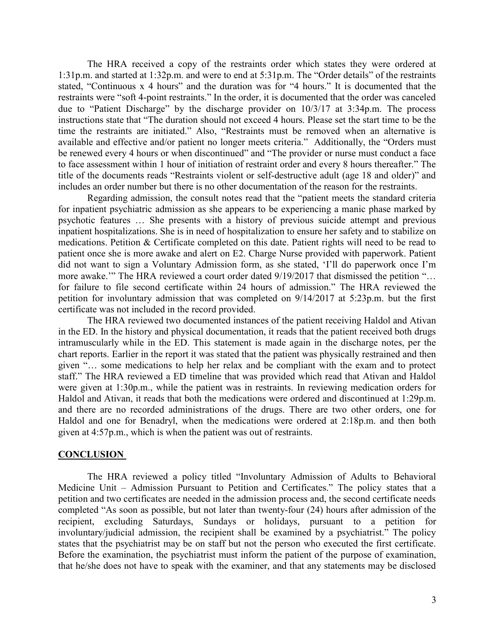The HRA received a copy of the restraints order which states they were ordered at 1:31p.m. and started at 1:32p.m. and were to end at 5:31p.m. The "Order details" of the restraints stated, "Continuous x 4 hours" and the duration was for "4 hours." It is documented that the restraints were "soft 4-point restraints." In the order, it is documented that the order was canceled due to "Patient Discharge" by the discharge provider on 10/3/17 at 3:34p.m. The process instructions state that "The duration should not exceed 4 hours. Please set the start time to be the time the restraints are initiated." Also, "Restraints must be removed when an alternative is available and effective and/or patient no longer meets criteria." Additionally, the "Orders must be renewed every 4 hours or when discontinued" and "The provider or nurse must conduct a face to face assessment within 1 hour of initiation of restraint order and every 8 hours thereafter." The title of the documents reads "Restraints violent or self-destructive adult (age 18 and older)" and includes an order number but there is no other documentation of the reason for the restraints.

 Regarding admission, the consult notes read that the "patient meets the standard criteria for inpatient psychiatric admission as she appears to be experiencing a manic phase marked by psychotic features … She presents with a history of previous suicide attempt and previous inpatient hospitalizations. She is in need of hospitalization to ensure her safety and to stabilize on medications. Petition & Certificate completed on this date. Patient rights will need to be read to patient once she is more awake and alert on E2. Charge Nurse provided with paperwork. Patient did not want to sign a Voluntary Admission form, as she stated, 'I'll do paperwork once I'm more awake." The HRA reviewed a court order dated  $9/19/2017$  that dismissed the petition "... for failure to file second certificate within 24 hours of admission." The HRA reviewed the petition for involuntary admission that was completed on 9/14/2017 at 5:23p.m. but the first certificate was not included in the record provided.

The HRA reviewed two documented instances of the patient receiving Haldol and Ativan in the ED. In the history and physical documentation, it reads that the patient received both drugs intramuscularly while in the ED. This statement is made again in the discharge notes, per the chart reports. Earlier in the report it was stated that the patient was physically restrained and then given "… some medications to help her relax and be compliant with the exam and to protect staff." The HRA reviewed a ED timeline that was provided which read that Ativan and Haldol were given at 1:30p.m., while the patient was in restraints. In reviewing medication orders for Haldol and Ativan, it reads that both the medications were ordered and discontinued at 1:29p.m. and there are no recorded administrations of the drugs. There are two other orders, one for Haldol and one for Benadryl, when the medications were ordered at 2:18p.m. and then both given at 4:57p.m., which is when the patient was out of restraints.

### **CONCLUSION**

 The HRA reviewed a policy titled "Involuntary Admission of Adults to Behavioral Medicine Unit – Admission Pursuant to Petition and Certificates." The policy states that a petition and two certificates are needed in the admission process and, the second certificate needs completed "As soon as possible, but not later than twenty-four (24) hours after admission of the recipient, excluding Saturdays, Sundays or holidays, pursuant to a petition for involuntary/judicial admission, the recipient shall be examined by a psychiatrist." The policy states that the psychiatrist may be on staff but not the person who executed the first certificate. Before the examination, the psychiatrist must inform the patient of the purpose of examination, that he/she does not have to speak with the examiner, and that any statements may be disclosed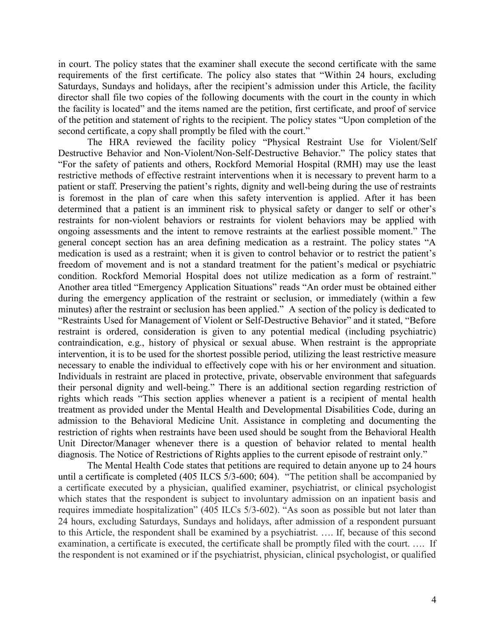in court. The policy states that the examiner shall execute the second certificate with the same requirements of the first certificate. The policy also states that "Within 24 hours, excluding Saturdays, Sundays and holidays, after the recipient's admission under this Article, the facility director shall file two copies of the following documents with the court in the county in which the facility is located" and the items named are the petition, first certificate, and proof of service of the petition and statement of rights to the recipient. The policy states "Upon completion of the second certificate, a copy shall promptly be filed with the court."

The HRA reviewed the facility policy "Physical Restraint Use for Violent/Self Destructive Behavior and Non-Violent/Non-Self-Destructive Behavior." The policy states that "For the safety of patients and others, Rockford Memorial Hospital (RMH) may use the least restrictive methods of effective restraint interventions when it is necessary to prevent harm to a patient or staff. Preserving the patient's rights, dignity and well-being during the use of restraints is foremost in the plan of care when this safety intervention is applied. After it has been determined that a patient is an imminent risk to physical safety or danger to self or other's restraints for non-violent behaviors or restraints for violent behaviors may be applied with ongoing assessments and the intent to remove restraints at the earliest possible moment." The general concept section has an area defining medication as a restraint. The policy states "A medication is used as a restraint; when it is given to control behavior or to restrict the patient's freedom of movement and is not a standard treatment for the patient's medical or psychiatric condition. Rockford Memorial Hospital does not utilize medication as a form of restraint." Another area titled "Emergency Application Situations" reads "An order must be obtained either during the emergency application of the restraint or seclusion, or immediately (within a few minutes) after the restraint or seclusion has been applied." A section of the policy is dedicated to "Restraints Used for Management of Violent or Self-Destructive Behavior" and it stated, "Before restraint is ordered, consideration is given to any potential medical (including psychiatric) contraindication, e.g., history of physical or sexual abuse. When restraint is the appropriate intervention, it is to be used for the shortest possible period, utilizing the least restrictive measure necessary to enable the individual to effectively cope with his or her environment and situation. Individuals in restraint are placed in protective, private, observable environment that safeguards their personal dignity and well-being." There is an additional section regarding restriction of rights which reads "This section applies whenever a patient is a recipient of mental health treatment as provided under the Mental Health and Developmental Disabilities Code, during an admission to the Behavioral Medicine Unit. Assistance in completing and documenting the restriction of rights when restraints have been used should be sought from the Behavioral Health Unit Director/Manager whenever there is a question of behavior related to mental health diagnosis. The Notice of Restrictions of Rights applies to the current episode of restraint only."

The Mental Health Code states that petitions are required to detain anyone up to 24 hours until a certificate is completed (405 ILCS 5/3-600; 604). "The petition shall be accompanied by a certificate executed by a physician, qualified examiner, psychiatrist, or clinical psychologist which states that the respondent is subject to involuntary admission on an inpatient basis and requires immediate hospitalization" (405 ILCs 5/3-602). "As soon as possible but not later than 24 hours, excluding Saturdays, Sundays and holidays, after admission of a respondent pursuant to this Article, the respondent shall be examined by a psychiatrist. …. If, because of this second examination, a certificate is executed, the certificate shall be promptly filed with the court. …. If the respondent is not examined or if the psychiatrist, physician, clinical psychologist, or qualified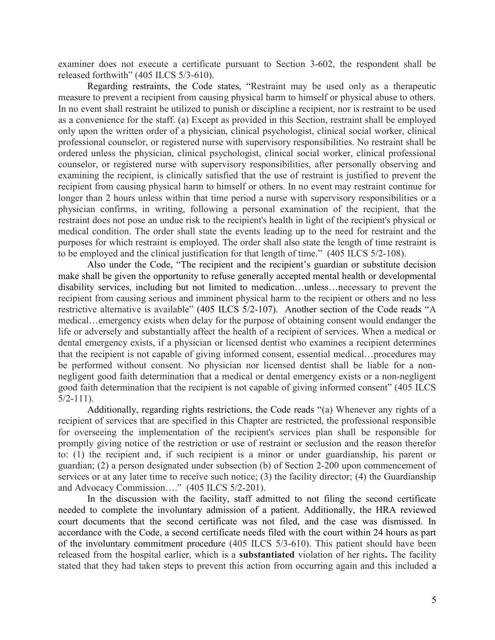examiner does not execute a certificate pursuant to Section 3-602, the respondent shall be released forthwith" (405 ILCS 5/3-610).

Regarding restraints, the Code states, "Restraint may be used only as a therapeutic measure to prevent a recipient from causing physical harm to himself or physical abuse to others. In no event shall restraint be utilized to punish or discipline a recipient, nor is restraint to be used as a convenience for the staff. (a) Except as provided in this Section, restraint shall be employed only upon the written order of a physician, clinical psychologist, clinical social worker, clinical professional counselor, or registered nurse with supervisory responsibilities. No restraint shall be ordered unless the physician, clinical psychologist, clinical social worker, clinical professional counselor, or registered nurse with supervisory responsibilities, after personally observing and examining the recipient, is clinically satisfied that the use of restraint is justified to prevent the recipient from causing physical harm to himself or others. In no event may restraint continue for longer than 2 hours unless within that time period a nurse with supervisory responsibilities or a physician confirms, in writing, following a personal examination of the recipient, that the restraint does not pose an undue risk to the recipient's health in light of the recipient's physical or medical condition. The order shall state the events leading up to the need for restraint and the purposes for which restraint is employed. The order shall also state the length of time restraint is to be employed and the clinical justification for that length of time." (405 ILCS 5/2-108).

Also under the Code, "The recipient and the recipient's guardian or substitute decision make shall be given the opportunity to refuse generally accepted mental health or developmental disability services, including but not limited to medication…unless…necessary to prevent the recipient from causing serious and imminent physical harm to the recipient or others and no less restrictive alternative is available" (405 ILCS 5/2-107). Another section of the Code reads "A medical…emergency exists when delay for the purpose of obtaining consent would endanger the life or adversely and substantially affect the health of a recipient of services. When a medical or dental emergency exists, if a physician or licensed dentist who examines a recipient determines that the recipient is not capable of giving informed consent, essential medical…procedures may be performed without consent. No physician nor licensed dentist shall be liable for a nonnegligent good faith determination that a medical or dental emergency exists or a non-negligent good faith determination that the recipient is not capable of giving informed consent" (405 ILCS  $5/2 - 111$ .

Additionally, regarding rights restrictions, the Code reads "(a) Whenever any rights of a recipient of services that are specified in this Chapter are restricted, the professional responsible for overseeing the implementation of the recipient's services plan shall be responsible for promptly giving notice of the restriction or use of restraint or seclusion and the reason therefor to: (1) the recipient and, if such recipient is a minor or under guardianship, his parent or guardian; (2) a person designated under subsection (b) of Section 2-200 upon commencement of services or at any later time to receive such notice; (3) the facility director; (4) the Guardianship and Advocacy Commission…." (405 ILCS 5/2-201).

In the discussion with the facility, staff admitted to not filing the second certificate needed to complete the involuntary admission of a patient. Additionally, the HRA reviewed court documents that the second certificate was not filed, and the case was dismissed. In accordance with the Code, a second certificate needs filed with the court within 24 hours as part of the involuntary commitment procedure (405 ILCS 5/3-610). This patient should have been released from the hospital earlier, which is a substantiated violation of her rights. The facility stated that they had taken steps to prevent this action from occurring again and this included a